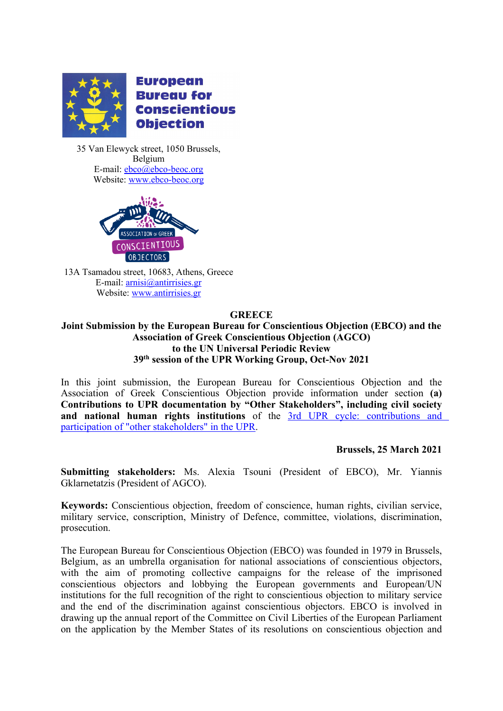

**European Bureau for Conscientious Objection** 

35 Van Elewyck street, 1050 Brussels, Belgium E-mail: [ebco@ebco-beoc.org](mailto:ebco@ebco-beoc.org) Website: [www.ebco-beoc.org](http://www.ebco-beoc.org/)



13Α Tsamadou street, 10683, Athens, Greece E-mail: [arnisi@antirrisies.gr](mailto:arnisi@antirrisies.gr) Website: [www.antirrisies.gr](http://www.antirrisies.gr)

## **GREECE**

**Joint Submission by the European Bureau for Conscientious Objection (EBCO) and the Association of Greek Conscientious Objection (AGCO) to the UN Universal Periodic Review 39th session of the UPR Working Group, Oct-Nov 2021**

In this joint submission, the European Bureau for Conscientious Objection and the Association of Greek Conscientious Objection provide information under section **(a) Contributions to UPR documentation by "Other Stakeholders", including civil society and national human rights institutions** of the 3rd UPR cycle: [contributions](https://www.ohchr.org/EN/HRBodies/UPR/Pages/NgosNhris.aspx) and participation of "other [stakeholders"](https://www.ohchr.org/EN/HRBodies/UPR/Pages/NgosNhris.aspx) in the UPR.

## **Brussels, 25 March 2021**

**Submitting stakeholders:** Ms. Alexia Tsouni (President of EBCO), Mr. Yiannis Gklarnetatzis (President of AGCO).

**Keywords:** Conscientious objection, freedom of conscience, human rights, civilian service, military service, conscription, Ministry of Defence, committee, violations, discrimination, prosecution.

The European Bureau for Conscientious Objection (EBCO) was founded in 1979 in Brussels, Belgium, as an umbrella organisation for national associations of conscientious objectors, with the aim of promoting collective campaigns for the release of the imprisoned conscientious objectors and lobbying the European governments and European/UN institutions for the full recognition of the right to conscientious objection to military service and the end of the discrimination against conscientious objectors. EBCO is involved in drawing up the annual repor<sup>t</sup> of the Committee on Civil Liberties of the European Parliament on the application by the Member States of its resolutions on conscientious objection and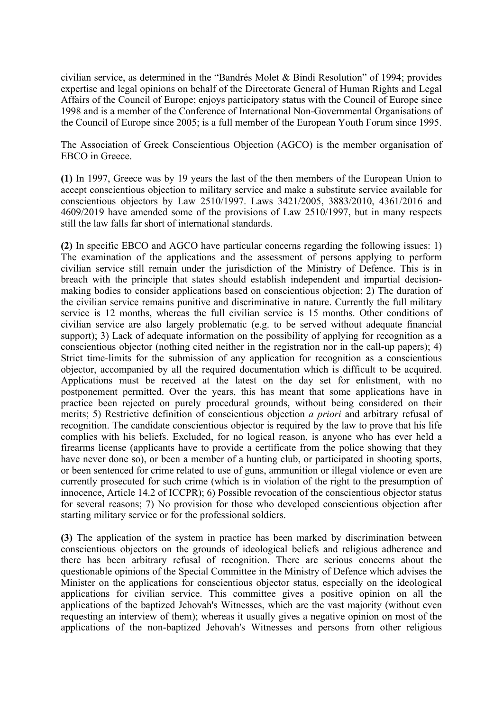civilian service, as determined in the "Bandrés Molet & Bindi Resolution" of 1994; provides expertise and legal opinions on behalf of the Directorate General of Human Rights and Legal Affairs of the Council of Europe; enjoys participatory status with the Council of Europe since 1998 and is <sup>a</sup> member of the Conference of International Non-Governmental Organisations of the Council of Europe since 2005; is <sup>a</sup> full member of the [European](http://www.youthforum.org/) Youth Forum since 1995.

The Association of Greek Conscientious Objection (AGCO) is the member organisation of EBCO in Greece.

**(1)** In 1997, Greece was by 19 years the last of the then members of the European Union to accep<sup>t</sup> conscientious objection to military service and make <sup>a</sup> substitute service available for conscientious objectors by Law 2510/1997. Laws 3421/2005, 3883/2010, 4361/2016 and 4609/2019 have amended some of the provisions of Law 2510/1997, but in many respects still the law falls far short of international standards.

**(2)** In specific EBCO and AGCO have particular concerns regarding the following issues: 1) The examination of the applications and the assessment of persons applying to perform civilian service still remain under the jurisdiction of the Ministry of Defence. This is in breach with the principle that states should establish independent and impartial decisionmaking bodies to consider applications based on conscientious objection; 2) The duration of the civilian service remains punitive and discriminative in nature. Currently the full military service is 12 months, whereas the full civilian service is 15 months. Other conditions of civilian service are also largely problematic (e.g. to be served without adequate financial support); 3) Lack of adequate information on the possibility of applying for recognition as a conscientious objector (nothing cited neither in the registration nor in the call-up papers); 4) Strict time-limits for the submission of any application for recognition as <sup>a</sup> conscientious objector, accompanied by all the required documentation which is difficult to be acquired. Applications must be received at the latest on the day set for enlistment, with no postponement permitted. Over the years, this has meant that some applications have in practice been rejected on purely procedural grounds, without being considered on their merits; 5) Restrictive definition of conscientious objection *<sup>a</sup> priori* and arbitrary refusal of recognition. The candidate conscientious objector is required by the law to prove that his life complies with his beliefs. Excluded, for no logical reason, is anyone who has ever held <sup>a</sup> firearms license (applicants have to provide <sup>a</sup> certificate from the police showing that they have never done so), or been a member of a hunting club, or participated in shooting sports, or been sentenced for crime related to use of guns, ammunition or illegal violence or even are currently prosecuted for such crime (which is in violation of the right to the presumption of innocence, Article 14.2 of ICCPR); 6) Possible revocation of the conscientious objector status for several reasons; 7) No provision for those who developed conscientious objection after starting military service or for the professional soldiers.

**(3)** The application of the system in practice has been marked by discrimination between conscientious objectors on the grounds of ideological beliefs and religious adherence and there has been arbitrary refusal of recognition. There are serious concerns about the questionable opinions of the Special Committee in the Ministry of Defence which advises the Minister on the applications for conscientious objector status, especially on the ideological applications for civilian service. This committee gives <sup>a</sup> positive opinion on all the applications of the baptized Jehovah's Witnesses, which are the vast majority (without even requesting an interview of them); whereas it usually gives <sup>a</sup> negative opinion on most of the applications of the non-baptized Jehovah's Witnesses and persons from other religious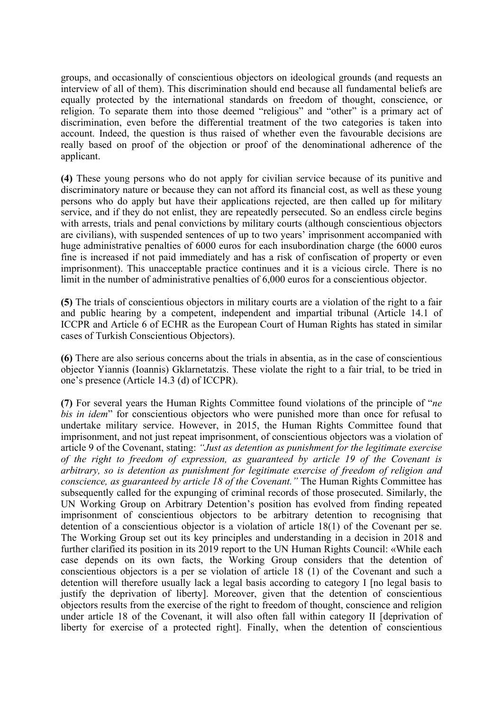groups, and occasionally of conscientious objectors on ideological grounds (and requests an interview of all of them). This discrimination should end because all fundamental beliefs are equally protected by the international standards on freedom of thought, conscience, or religion. To separate them into those deemed "religious" and "other" is <sup>a</sup> primary act of discrimination, even before the differential treatment of the two categories is taken into account. Indeed, the question is thus raised of whether even the favourable decisions are really based on proof of the objection or proof of the denominational adherence of the applicant.

**(4)** These young persons who do not apply for civilian service because of its punitive and discriminatory nature or because they can not afford its financial cost, as well as these young persons who do apply but have their applications rejected, are then called up for military service, and if they do not enlist, they are repeatedly persecuted. So an endless circle begins with arrests, trials and penal convictions by military courts (although conscientious objectors are civilians), with suspended sentences of up to two years' imprisonment accompanied with huge administrative penalties of 6000 euros for each insubordination charge (the 6000 euros fine is increased if not paid immediately and has <sup>a</sup> risk of confiscation of property or even imprisonment). This unacceptable practice continues and it is <sup>a</sup> vicious circle. There is no limit in the number of administrative penalties of 6,000 euros for <sup>a</sup> conscientious objector.

**(5)** The trials of conscientious objectors in military courts are <sup>a</sup> violation of the right to <sup>a</sup> fair and public hearing by <sup>a</sup> competent, independent and impartial tribunal (Article 14.1 of ICCPR and Article 6 of ECHR as the European Court of Human Rights has stated in similar cases of Turkish Conscientious Objectors).

**(6)** There are also serious concerns about the trials in absentia, as in the case of conscientious objector Yiannis (Ioannis) Gklarnetatzis. These violate the right to <sup>a</sup> fair trial, to be tried in one'<sup>s</sup> presence (Article 14.3 (d) of ICCPR).

**(7)** For several years the Human Rights Committee found violations of the principle of "*ne bis in idem*" for conscientious objectors who were punished more than once for refusal to undertake military service. However, in 2015, the Human Rights Committee found that imprisonment, and not just repea<sup>t</sup> imprisonment, of conscientious objectors was <sup>a</sup> violation of article 9 of the Covenant, stating: *"Just as detention as punishment for the legitimate exercise of the right to freedom of expression, as guaranteed by article 19 of the Covenant is arbitrary, so is detention as punishment for legitimate exercise of freedom of religion and conscience, as guaranteed by article 18 of the Covenant."* The Human Rights Committee has subsequently called for the expunging of criminal records of those prosecuted. Similarly, the UN Working Group on Arbitrary Detention'<sup>s</sup> position has evolved from finding repeated imprisonment of conscientious objectors to be arbitrary detention to recognising that detention of <sup>a</sup> conscientious objector is <sup>a</sup> violation of article 18(1) of the Covenant per se. The Working Group set out its key principles and understanding in <sup>a</sup> decision in 2018 and further clarified its position in its 2019 repor<sup>t</sup> to the UN Human Rights Council: «While each case depends on its own facts, the Working Group considers that the detention of conscientious objectors is <sup>a</sup> per se violation of article 18 (1) of the Covenant and such <sup>a</sup> detention will therefore usually lack <sup>a</sup> legal basis according to category I [no legal basis to justify the deprivation of liberty]. Moreover, given that the detention of conscientious objectors results from the exercise of the right to freedom of thought, conscience and religion under article 18 of the Covenant, it will also often fall within category II [deprivation of liberty for exercise of <sup>a</sup> protected right]. Finally, when the detention of conscientious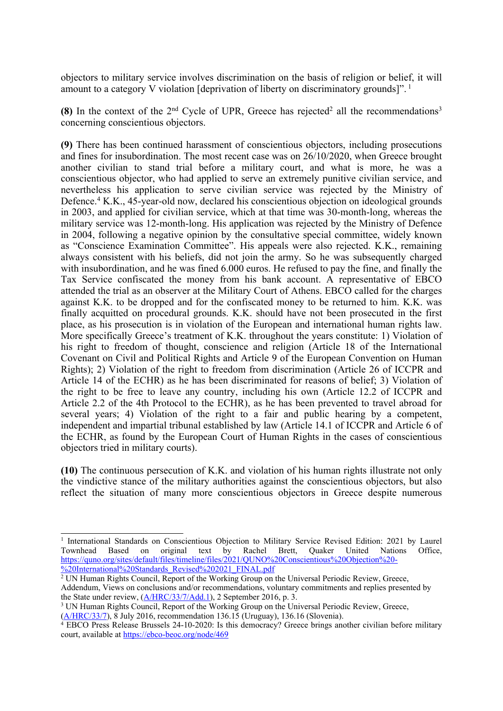objectors to military service involves discrimination on the basis of religion or belief, it will amount to a category V violation [deprivation of liberty on discriminatory grounds]". <sup>1</sup>

**(8)** In the context of the  $2<sup>nd</sup>$  Cycle of UPR, Greece has rejected<sup>2</sup> all the recommendations<sup>3</sup> concerning conscientious objectors.

**(9)** There has been continued harassment of conscientious objectors, including prosecutions and fines for insubordination. The most recent case was on 26/10/2020, when Greece brought another civilian to stand trial before <sup>a</sup> military court, and what is more, he was <sup>a</sup> conscientious objector, who had applied to serve an extremely punitive civilian service, and nevertheless his application to serve civilian service was rejected by the Ministry of Defence. <sup>4</sup> K.K., 45-year-old now, declared his conscientious objection on ideological grounds in 2003, and applied for civilian service, which at that time was 30-month-long, whereas the military service was 12-month-long. His application was rejected by the Ministry of Defence in 2004, following <sup>a</sup> negative opinion by the consultative special committee, widely known as "Conscience Examination Committee". His appeals were also rejected. K.K., remaining always consistent with his beliefs, did not join the army. So he was subsequently charged with insubordination, and he was fined 6.000 euros. He refused to pay the fine, and finally the Tax Service confiscated the money from his bank account. A representative of EBCO attended the trial as an observer at the Military Court of Athens. EBCO called for the charges against K.K. to be dropped and for the confiscated money to be returned to him. K.K. was finally acquitted on procedural grounds. K.K. should have not been prosecuted in the first place, as his prosecution is in violation of the European and international human rights law. More specifically Greece's treatment of K.K. throughout the years constitute: 1) Violation of his right to freedom of thought, conscience and religion (Article 18 of the International Covenant on Civil and Political Rights and Article 9 of the European Convention on Human Rights); 2) Violation of the right to freedom from discrimination (Article 26 of ICCPR and Article 14 of the ECHR) as he has been discriminated for reasons of belief; 3) Violation of the right to be free to leave any country, including his own (Article 12.2 of ICCPR and Article 2.2 of the 4th Protocol to the ECHR), as he has been prevented to travel abroad for several years; 4) Violation of the right to <sup>a</sup> fair and public hearing by <sup>a</sup> competent, independent and impartial tribunal established by law (Article 14.1 of ICCPR and Article 6 of the ECHR, as found by the European Court of Human Rights in the cases of conscientious objectors tried in military courts).

**(10)** The continuous persecution of K.K. and violation of his human rights illustrate not only the vindictive stance of the military authorities against the conscientious objectors, but also reflect the situation of many more conscientious objectors in Greece despite numerous

<sup>&</sup>lt;sup>1</sup> International Standards on Conscientious Objection to Military Service Revised Edition: 2021 by Laurel Townhead Based on original text by Rachel Brett, Quaker United Nations Office, [https://quno.org/sites/default/files/timeline/files/2021/QUNO%20Conscientious%20Objection%20-](https://quno.org/sites/default/files/timeline/files/2021/QUNO%20Conscientious%20Objection%20-%20International%20Standards_Revised%202021_FINAL.pdf) [%20International%20Standards](https://quno.org/sites/default/files/timeline/files/2021/QUNO%20Conscientious%20Objection%20-%20International%20Standards_Revised%202021_FINAL.pdf)\_[Revised%202021](https://quno.org/sites/default/files/timeline/files/2021/QUNO%20Conscientious%20Objection%20-%20International%20Standards_Revised%202021_FINAL.pdf)\_[FINAL.pdf](https://quno.org/sites/default/files/timeline/files/2021/QUNO%20Conscientious%20Objection%20-%20International%20Standards_Revised%202021_FINAL.pdf)

<sup>&</sup>lt;sup>2</sup> UN Human Rights Council, Report of the Working Group on the Universal Periodic Review, Greece, Addendum, Views on conclusions and/or recommendations, voluntary commitments and replies presented by the State under review, ([A/HRC/33/7/Add.1\)](http://undocs.org/A/HRC/33/7/Add.1), 2 September 2016, p. 3.

<sup>&</sup>lt;sup>3</sup> UN Human Rights Council, Report of the Working Group on the Universal Periodic Review, Greece, [\(A/HRC/33/7](https://www.refworld.org/pdfid/57cd5dee4.pdf)), 8 July 2016, recommendation 136.15 (Uruguay), 136.16 (Slovenia).

<sup>4</sup> EBCO Press Release Brussels 24-10-2020: Is this democracy? Greece brings another civilian before military court, available at <https://ebco-beoc.org/node/469>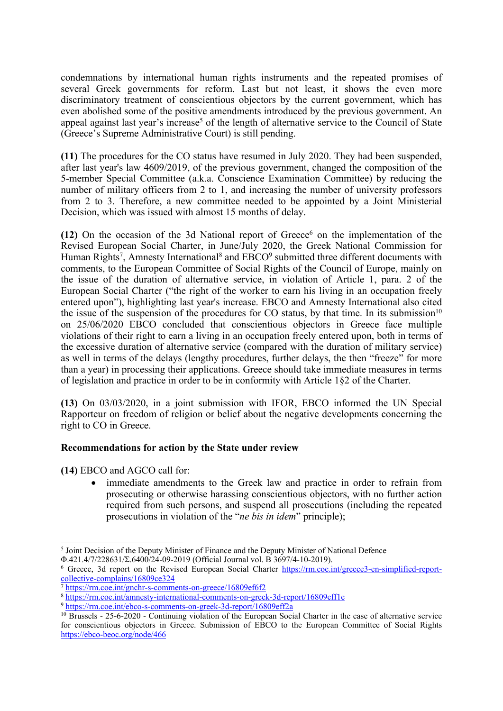condemnations by international human rights instruments and the repeated promises of several Greek governments for reform. Last but not least, it shows the even more discriminatory treatment of conscientious objectors by the current government, which has even abolished some of the positive amendments introduced by the previous government. An appeal against last year's increase<sup>5</sup> of the length of alternative service to the Council of State (Greece'<sup>s</sup> Supreme Administrative Court) is still pending.

**(11)** The procedures for the CO status have resumed in July 2020. They had been suspended, after last year's law 4609/2019, of the previous government, changed the composition of the 5-member Special Committee (a.k.a. Conscience Examination Committee) by reducing the number of military officers from 2 to 1, and increasing the number of university professors from 2 to 3. Therefore, <sup>a</sup> new committee needed to be appointed by <sup>a</sup> Joint Ministerial Decision, which was issued with almost 15 months of delay.

**(12)** On the occasion of the 3d National report of Greece<sup>6</sup> on the implementation of the Revised European Social Charter, in June/July 2020, the Greek National Commission for Human Rights<sup>7</sup>, Amnesty International<sup>8</sup> and EBCO<sup>9</sup> submitted three different documents with comments, to the European Committee of Social Rights of the Council of Europe, mainly on the issue of the duration of alternative service, in violation of Article 1, para. 2 of the European Social Charter ("the right of the worker to earn his living in an occupation freely entered upon"), highlighting last year's increase. EBCO and Amnesty International also cited the issue of the suspension of the procedures for CO status, by that time. In its submission<sup>10</sup> on 25/06/2020 EBCO concluded that conscientious objectors in Greece face multiple violations of their right to earn <sup>a</sup> living in an occupation freely entered upon, both in terms of the excessive duration of alternative service (compared with the duration of military service) as well in terms of the delays (lengthy procedures, further delays, the then "freeze" for more than <sup>a</sup> year) in processing their applications. Greece should take immediate measures in terms of legislation and practice in order to be in conformity with Article 1§2 of the Charter.

**(13)** On 03/03/2020, in <sup>a</sup> joint submission with IFOR, EBCO informed the UN Special Rapporteur on freedom of religion or belief about the negative developments concerning the right to CO in Greece.

## **Recommendations for action by the State under review**

**(14)** EBCO and AGCO call for:

6 immediate amendments to the Greek law and practice in order to refrain from prosecuting or otherwise harassing conscientious objectors, with no further action required from such persons, and suspend all prosecutions (including the repeated prosecutions in violation of the "*ne bis in idem*" principle);

<sup>&</sup>lt;sup>5</sup> Joint Decision of the Deputy Minister of Finance and the Deputy Minister of National Defence

Φ.421.4/7/228631/Σ.6400/24-09-2019 (Official Journal vol. B 3697/4-10-2019).

<sup>6</sup> Greece, 3d repor<sup>t</sup> on the Revised European Social Charter [https://rm.coe.int/greece3-en-simplified-report](https://rm.coe.int/greece3-en-simplified-report-collective-complains/16809ce324)[collective-complains/16809ce324](https://rm.coe.int/greece3-en-simplified-report-collective-complains/16809ce324)

<sup>7</sup> <https://rm.coe.int/gnchr-s-comments-on-greece/16809ef6f2>

<sup>8</sup> <https://rm.coe.int/amnesty-international-comments-on-greek-3d-report/16809eff1e> 9 <https://rm.coe.int/ebco-s-comments-on-greek-3d-report/16809eff2a>

<sup>&</sup>lt;sup>10</sup> Brussels - 25-6-2020 - Continuing violation of the European Social Charter in the case of alternative service for conscientious objectors in Greece. Submission of EBCO to the European Committee of Social Rights <https://ebco-beoc.org/node/466>